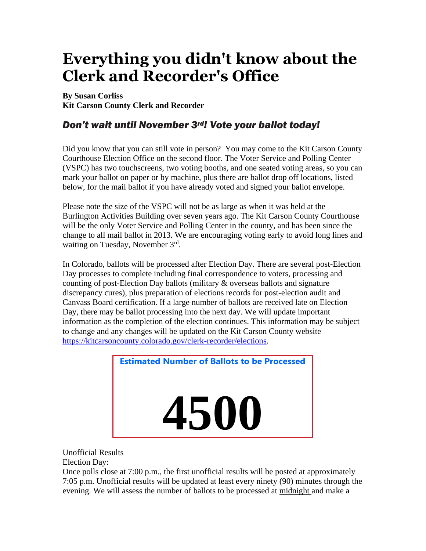# **Everything you didn't know about the Clerk and Recorder's Office**

**By Susan Corliss Kit Carson County Clerk and Recorder**

## *Don't wait until November 3rd! Vote your ballot today!*

Did you know that you can still vote in person? You may come to the Kit Carson County Courthouse Election Office on the second floor. The Voter Service and Polling Center (VSPC) has two touchscreens, two voting booths, and one seated voting areas, so you can mark your ballot on paper or by machine, plus there are ballot drop off locations, listed below, for the mail ballot if you have already voted and signed your ballot envelope.

Please note the size of the VSPC will not be as large as when it was held at the Burlington Activities Building over seven years ago. The Kit Carson County Courthouse will be the only Voter Service and Polling Center in the county, and has been since the change to all mail ballot in 2013. We are encouraging voting early to avoid long lines and waiting on Tuesday, November 3rd.

In Colorado, ballots will be processed after Election Day. There are several post-Election Day processes to complete including final correspondence to voters, processing and counting of post-Election Day ballots (military & overseas ballots and signature discrepancy cures), plus preparation of elections records for post-election audit and Canvass Board certification. If a large number of ballots are received late on Election Day, there may be ballot processing into the next day. We will update important information as the completion of the election continues. This information may be subject to change and any changes will be updated on the Kit Carson County website [https://kitcarsoncounty.colorado.gov/clerk-recorder/elections.](https://kitcarsoncounty.colorado.gov/clerk-recorder/elections)



#### Unofficial Results Election Day:

Once polls close at 7:00 p.m., the first unofficial results will be posted at approximately 7:05 p.m. Unofficial results will be updated at least every ninety (90) minutes through the evening. We will assess the number of ballots to be processed at midnight and make a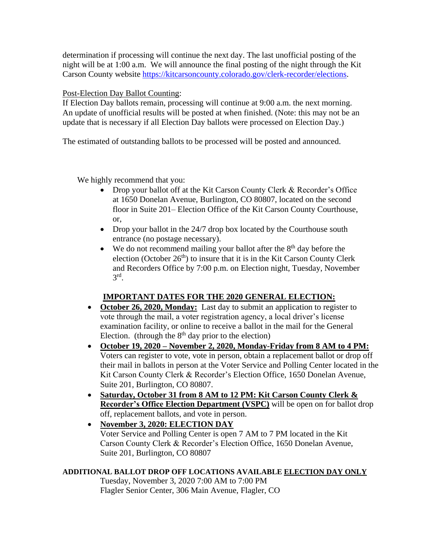determination if processing will continue the next day. The last unofficial posting of the night will be at 1:00 a.m. We will announce the final posting of the night through the Kit Carson County website [https://kitcarsoncounty.colorado.gov/clerk-recorder/elections.](https://kitcarsoncounty.colorado.gov/clerk-recorder/elections)

#### Post-Election Day Ballot Counting:

If Election Day ballots remain, processing will continue at 9:00 a.m. the next morning. An update of unofficial results will be posted at when finished. (Note: this may not be an update that is necessary if all Election Day ballots were processed on Election Day.)

The estimated of outstanding ballots to be processed will be posted and announced.

We highly recommend that you:

- Drop your ballot off at the Kit Carson County Clerk & Recorder's Office at 1650 Donelan Avenue, Burlington, CO 80807, located on the second floor in Suite 201– Election Office of the Kit Carson County Courthouse, or,
- Drop your ballot in the 24/7 drop box located by the Courthouse south entrance (no postage necessary).
- $\bullet$  We do not recommend mailing your ballot after the  $8<sup>th</sup>$  day before the election (October  $26<sup>th</sup>$ ) to insure that it is in the Kit Carson County Clerk and Recorders Office by 7:00 p.m. on Election night, Tuesday, November 3 rd .

### **IMPORTANT DATES FOR THE 2020 GENERAL ELECTION:**

- **October 26, 2020, Monday:** Last day to submit an application to register to vote through the mail, a voter registration agency, a local driver's license examination facility, or online to receive a ballot in the mail for the General Election. (through the  $8<sup>th</sup>$  day prior to the election)
- **October 19, 2020 – November 2, 2020, Monday-Friday from 8 AM to 4 PM:** Voters can register to vote, vote in person, obtain a replacement ballot or drop off their mail in ballots in person at the Voter Service and Polling Center located in the Kit Carson County Clerk & Recorder's Election Office, 1650 Donelan Avenue, Suite 201, Burlington, CO 80807.
- **Saturday, October 31 from 8 AM to 12 PM: Kit Carson County Clerk & Recorder's Office Election Department (VSPC)** will be open on for ballot drop off, replacement ballots, and vote in person.
- **November 3, 2020: ELECTION DAY** Voter Service and Polling Center is open 7 AM to 7 PM located in the Kit Carson County Clerk & Recorder's Election Office, 1650 Donelan Avenue, Suite 201, Burlington, CO 80807

#### **ADDITIONAL BALLOT DROP OFF LOCATIONS AVAILABLE ELECTION DAY ONLY**

Tuesday, November 3, 2020 7:00 AM to 7:00 PM Flagler Senior Center, 306 Main Avenue, Flagler, CO